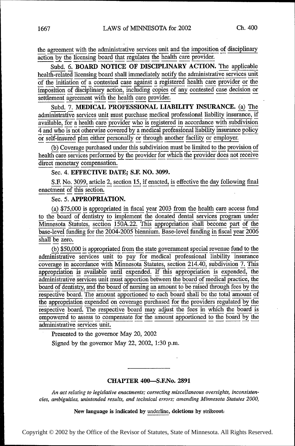the agreement with the administrative services unit and the imposition of disciplinary action by the licensing board that regulates the health care provider.

Subd. 6. BOARD NOTICE OF DISCIPLINARY ACTION. The applicable health-related licensing board shall immediately notify the administrative services unit of the initiation of a contested case against a registered health care provider or the imposition of disciplinary action, including copies of any contested case decision or settlement agreement with the health care provider.<br>  $\frac{1}{2}$  providers and  $\frac{1}{2}$  providers and  $\frac{1}{2}$  providers  $\frac{1}{2}$  prov

Subd. 7. MEDICAL PROFESSIONAL LIABILITY INSURANCE. (a) The administrative services unit must purchase medical professional nability insurance,  $\overline{\mathbf{u}}$ available, for a health care provider who is registered in accordance with subdivision 4 and who is not otherwise covered by a medical professional liability insurance policy or self-insured plan either personally or through another facility or employer.

(b) Coverage purchased under this subdivision must be limited to the provision of health care services performed by the provider for which the provider does not receive direct monetary compensation.

Sec. 4. EFFECTIVE DATE; S.F. NO. 3099.<br>S.F. No. 3099, article 2, section 15, if enacted, is effective the day following final enactment of this section.

# Sec. 5. APPROPRIATION.

(a) \$75,000 is appropriated in fiscal year 2003 from the health care access fund<br>to the board of dentistry to implement the donated dental services program under<br> $\overline{M}$ Minnesota Statutes, section 150A.22. This appropriation shall become part of the base-level funding for the 2004-2005 biennium. Base-level funding in fiscal year 2006 shall be zero.

(b) \$50,000 is appropriated from the state government special revenue fund to the administrative services unit to pay for medical professional liability insurance coverage in accordance with Minnesota Statutes, section 214.40, subdivision 7. This appropriation is available until expended. If this appropriation is expended, the administrative services unit must apportion between the board of medical practice, the board of dentistry, and the board of nursing an amount to be raised through fees by the respective board. The amount apportioned to each board shall be the total amount of the appropriation expended on coverage purchased for the providers regulated by the respective board. The respective board may adjust the fees in which the board is empowered to assess to compensate for the amount apportioned to the board by the administrative services unit. administrative services unit.

Presented to the governor May 20, 2002

Signed by the governor May 22, 2002, 1:30 p.m.

### CHAPTER 400—S.F.No. 2891

An act relating to legislative enactments; correcting miscellaneous oversights, inconsistencies, ambiguities, unintended results, and technical errors; amending Minnesota Statutes 2000,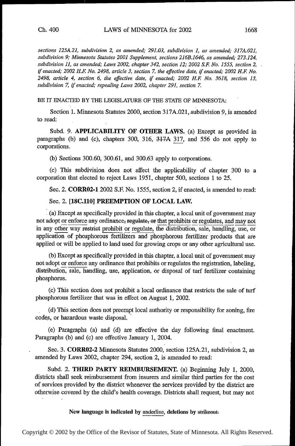sections 125A.21, subdivision 2, as amended; 291.03, subdivision 1, as amended; 317A.021, subdivision 9; Minnesota Statutes 2001 'Supplement, sections 216B.1646, as amended; 273.124, subdivision 11, as amended; Laws 2002, chapter 342, section 12; 2002 S.F. No. 1555, section 2, if enacted; 2002 H.F. No. 2498, article 3, section 7, the effective date, if enacted; 2002 H.F. No. 2498, article 4, section 6, the effective date, if enacted;  $2002$  H.F. No. 3618, section 13, subdivision 7, if enacted; repealing Laws 2002, chapter 291, section 7.

BE IT ENACTED BY THE LEGISLATURE OF THE STATE OF MINNESOTA:

Section 1. Minnesota Statutes 2000, section 317A.021, subdivision 9, is amended to read:

Subd. 9. APPLICABILITY OF OTHER LAWS. (a) Except as provided in paragraphs (b) and (c), chapters 300, 316, 317A 317, and 556 do not apply to corporations. .

(b) Sections 300.60, 300.61, and 300.63 apply to corporations.

(c) This subdivision does not affect the applicability of chapter 300 to a corporation that elected to reject Laws 1951, chapter 500, sections 1 to 25.

Sec. 2. CORR02-1 2002 S.F. No. 1555, section 2, if enacted, is amended to read:

### Sec. 2. [18C.110] PREEMPTION OF LOCAL LAW.

<sup>1</sup>(a) Except as specifically provided in this chapter, a local unit of government may not adopt or enforce any ordinance; regulate, or that prohibits or regulates, and may not in any other way restrict prohibit or regulate, the distribution, sale, handling, use, or application of phosphorous fertilizers and phosphorous fertilizer products that are applied or will be applied to land used for growing crops or any other agricultural use.

(b) Except as specifically provided in this chapter, a local unit of government may not-adopt or enforce any ordinance that prohibits or regulates the registration, labeling, distribution, sale, handling, use, application, or disposal of turf fertilizer containing phosphorus.

(c) This section does not prohibit a local ordinance that restricts the sale of turf' phosphorous fertilizer that was in effect on August 1, 2002.

(d) This section does not preempt local authority or responsibility for zoning, fire codes, or hazardous waste disposal.

(e) Paragraphs (a) and (d) are effective the day following final enactment. Paragraphs (b) and (c) are effective January 1, 2004.

Sec. 3. CORR02-2 Minnesota Statutes 2000, section 125A.21, subdivision 2, as amended by Laws 2002, chapter 294, section 2, is amended to read:

Subd. 2. THIRD PARTY REIMBURSEMENT. (a) Beginning July 1, 2000, districts shall seek reimbursement from insurers and similar third parties for the cost of services provided by the district whenever the services provided by the district are otherwise covered by the child's health coverage. Districts shall request, but may not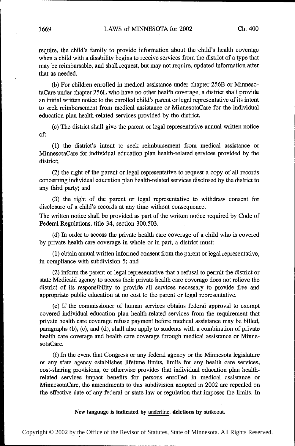require, the child's family to provide information about the child's health coverage when a child with a disability begins to receive services from the district of a type that may be reimbursable, and shall request, but may not require, updated information after that as needed.

(b) For children enrolled in medical assistance under chapter 256B or MinnesotaCare under chapter 256L who have no other health coverage, a district shall provide an initial written notice to the enrolled child's parent or legal representative of its intent to seek reimbursement from medical assistance or MinnesotaCare for the individual education plan health-related services provided by the district.

(c) The district shall give the parent or legal representative annual written notice of:

(1) the district's intent to seek reimbursement from medical assistance or MinnesotaCare for individual education plan health-related services provided by the district;

(2) the right of the parent or legal representative to request a copy of all records concerning individual education plan health-related services disclosed by the district to any third party; and

(3) the right of the parent or legal representative to withdraw consent for disclosure of a child's records at any time without consequence.

The written notice shall be provided as part of the written notice required by Code of Federal Regulations, title 34, section 300.503.

(d) In order to access the private health care coverage of a child who is covered by private health care coverage in whole or in part, a district must:

(I) obtain annual written informed consent from the parent or legal representative, in compliance with subdivision 5; and

(2) inform the parent or legal representative that a refusal to permit the district or state Medicaid agency to access their private health care coverage does not relieve the district of its responsibility to provide all services necessary to provide free and appropriate public education at no cost to the parent or legal representative.

(e) If the commissioner of human services obtains federal approval to exempt covered individual education plan health—1'elated services from the requirement that private health care coverage refuse payment before medical assistance may be billed, paragraphs (b), (c), and (d), shall also apply to students with a combination of private health care coverage and health care coverage through medical assistance or MinnesotaCare.

(f) In the event that Congress or any federal agency or the Minnesota legislature or any state agency establishes lifetime limits, limits for any health care services, cost-sharing provisions, or otherwise provides that individual education plan healthrelated services impact benefits for persons enrolled in medical assistance or MinnesotaCare, the amendments to this subdivision adopted in 2002 are repealed on the effective date of any federal or state law or regulation that imposes the limits. In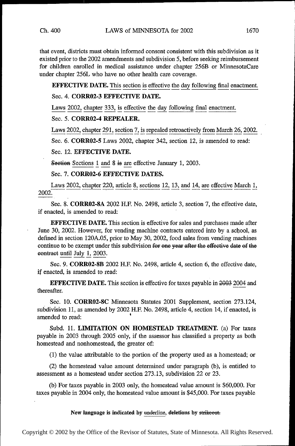that event, districts must obtain informed consent consistent with this subdivision as it existed prior to the 2002 amendments and' subdivision 5, before seeking reimbursement for children enrolled in medical assistance under chapter 256B or MinnesotaCare under chapter 256L who have no other health care coverage.

EFFECTIVE DATE. This section is effective the day following final enactment.

# Sec. 4. CORR02-3 EFFECTIVE DATE.

Laws 2002, chapter 333, is effective the day following final enactment.

# Sec. 5. CORR02-4 REPEALER.

Laws 2002, chapter 291, section 7, is repealed retroactively from March 26, 2002.

Sec. 6. CORROZ-5 Laws 2002, chapter 342, section 12, is amended to read:

## Sec. 12. EFFECTIVE DATE.

Seetien Sections 1 and 8 is are effective January 1, 2003.

Sec. 7. CORR02-6 EFFECTIVE DATES.

Laws 2002, chapter 220, article  $8$ , sections 12, 13, and 14, are effective March 1, 2002.

Sec. 8. CORR02-8A 2002 H.F. No. 2498, article 3, section 7, the effective date, if enacted, is amended to read:

EFFECTIVE DATE. This section is effective for sales and purchases made after June 30, 2002. However, for vending machine contracts entered into by a school, as defined in section 120A.05, prior to May 30, 2002, food sales from vending machines continue to be exempt under this subdivision for one year after the effective date of the eentract until July 1, 2003.

Sec. 9. CORR02-8B 2002 H.F. No. 2498, article 4, section 6, the eifective date, if enacted, is amended to read:

**EFFECTIVE DATE.** This section is effective for taxes payable in 2003 2004 and thereafter.

Sec. 10. CORR02-8C Minnesota Statutes 2001 Supplement, section 273.124, subdivision 11, as amended by 2002 H.F. No. 2498, article 4, section 14, if enacted, is amended to read:

Subd. 11. LIMITATION ON HOMESTEAD TREATMENT. (a) For taxes payable in 2003 through 2005 only, if the assessor has classified a property as both homestead and nonhomestead, the greater of:

(1) the value attributable to the portion of the property used as a homestead; or

(2) the homestead value amount determined under paragraph (b), is entitled to assessment as a homestead under section 273.13, subdivision 22 or 23.

(b) For taxes payable in 2003 only, the homestead value amount is \$60,000. For taxes payable in 2004 only, the homestead value amount is \$45,000. For taxes payable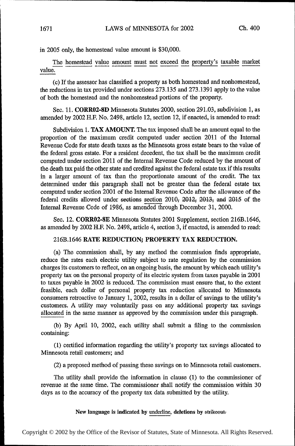in 2005 only, the homestead value amount is \$30,000.

The homestead value amount must not exceed the property's taxable market value.

(c) If the assessor has classified a property asiboth homestead and nonhomestead, the reductions in tax provided under sections 273.135 and 273.1391 apply to the value of both the homestead and the nonhomestead portions of the property.

Sec. 11. CORR02-8D Minnesota Statutes 2000, section 291.03, subdivision 1, as amended by 2002 H.F. No. 2498, article 12, section 12, if enacted, is amended to read:

Subdivision 1. TAX AMOUNT. The tax imposed shall be an amount equal to the proportion of the maximum credit computed under section 2011 of the Internal Revenue Code for state death taxes as the Minnesota gross estate bears to the value of the federal gross estate. For a resident decedent, the tax shall be the maximum credit computed under section 2011 of the Internal Revenue Code reduced by the amount of the death tax paid the other state and credited against the federal estate tax if this results in a larger amount of tax than the proportionate amount of the credit. The tax determined under this paragraph shall not be greater than the federal estate tax computed under section 2001 of the Internal Revenue Code after the allowance of the federal credits allowed under sections section 2010; 2012; 2013; and 2015 of the Internal Revenue Code of 1986, as amended through December 31, 2000.

Sec. 12. CORR02-SE Minnesota Statutes 2001 Supplement, section 216B.l646, as amended by 2002 H.F. No. 2498, article 4, section 3, if enacted, is amended to read:

# 216B.l646 RATE REDUCTION; PROPERTY TAX REDUCTION.

(a) The commission shall, by any method the commission finds appropriate, reduce the rates each electric utility subject to rate regulation by the commission charges its customers to reflect, on an ongoing basis, the amount by which each utility's property tax on the personal property of its electric system from taxes payable in 2001 to taxes payable in 2002 is reduced. The commission must ensure that, to the extent feasible, each dollar of personal property tax reduction allocated to Minnesota consumers retroactive to January 1, 2002, results in a dollar of savings to the utility's customers. A utility may voluntarily pass on any additional property tax savings allocated in the same manner as approved by the commission under this paragraph.

(b) By April 10, 2002, each utility shall submit a filing to the commission containing:

(1) certified information regarding the utility's property tax savings allocated to Minnesota retail customers; and

(2) a proposed method of passing these savings on to Minnesota retail customers.

The utility shall provide the information in clause (1) to the commissioner of revenue at the same time. The commissioner shall notify the commission within 30 days as to the accuracy of the property tax data submitted by the utility.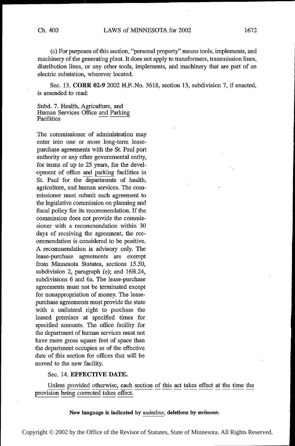(c) For purposes of this section, "personal property" means tools, implements, and machinery of the generating plant. It does not apply to transformers, transmission lines, distribution lines, or any other tools, implements, and machinery that are part of an electric substation, wherever located.

Sec. 13. CORR 02-9 2002 H.F..No. 3618, section 13, subdivision 7, if enacted, is amended to read:

Subd. 7. Health, Agriculture, and Human Services Office and Parking<br>Facilities

-opment of oflice and parking facilities in The commissioner of administration may enter into one or more long—term leasepurchase agreements with the St. Paul port authority or any other governmental entity, for terms of up to 25 years, for the devel-St. Paul for the departments of health, agriculture, and human services. The commissioner must submit each agreement to the legislative commission on planning and fiscal policy for its recommendation. If the commission does not provide the commissioner with a recommendation within 30 days of receiving the agreement, the recommendation is considered to be positive. A recommendation is advisory only. The lease-purchase agreements are exempt from Minnesota Statutes, sections 15.50, subdivision 2, paragraph (e); and 16B.24, subdivisions 6 and 6a. The lease-purchase agreements must not be terminated except for nonappropriation of money. The leasepurchase agreements must provide the state with a unilateral right to purchase the leased premises at specified times for specified amounts. The office facility for the department of human services must not have more gross square feet of space than the department occupies as of the effective date of this section for oflices that will be moved to the new facility.

### Sec. 14. EFFECTIVE DATE.

Unless provided otherwise, each section of this act takes effect at the time the provision being corrected takes effect.

### New language is indicated by underline, deletions by strikeout.

Copyright © 2002 by the Office of the Revisor of Statutes, State of Minnesota. All Rights Reserved.